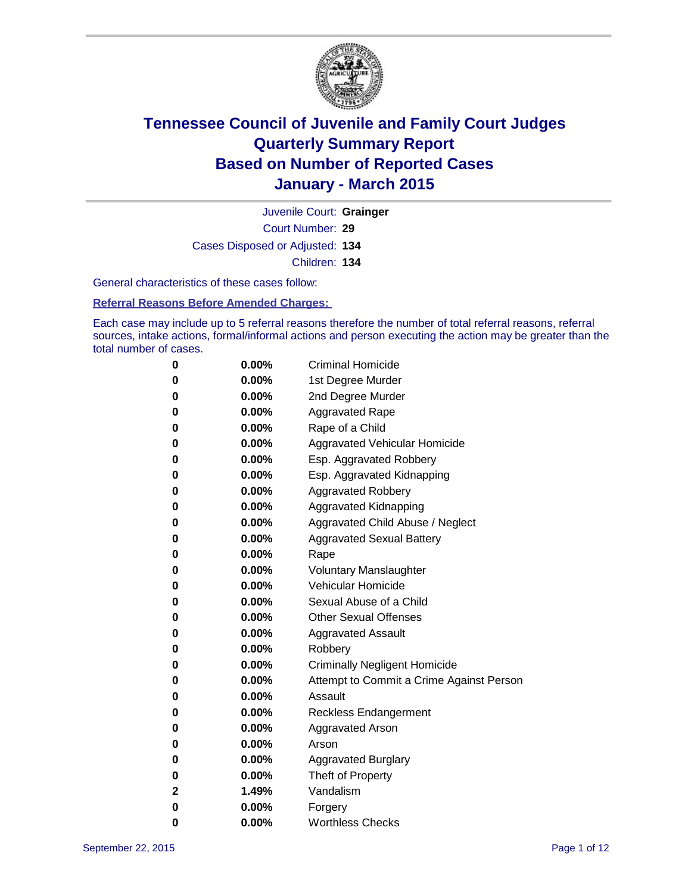

Court Number: **29** Juvenile Court: **Grainger** Cases Disposed or Adjusted: **134** Children: **134**

General characteristics of these cases follow:

**Referral Reasons Before Amended Charges:** 

Each case may include up to 5 referral reasons therefore the number of total referral reasons, referral sources, intake actions, formal/informal actions and person executing the action may be greater than the total number of cases.

| 0           | $0.00\%$ | <b>Criminal Homicide</b>                 |
|-------------|----------|------------------------------------------|
| 0           | $0.00\%$ | 1st Degree Murder                        |
| $\bf{0}$    | $0.00\%$ | 2nd Degree Murder                        |
| 0           | $0.00\%$ | <b>Aggravated Rape</b>                   |
| 0           | $0.00\%$ | Rape of a Child                          |
| 0           | $0.00\%$ | Aggravated Vehicular Homicide            |
| 0           | $0.00\%$ | Esp. Aggravated Robbery                  |
| 0           | $0.00\%$ | Esp. Aggravated Kidnapping               |
| $\bf{0}$    | $0.00\%$ | <b>Aggravated Robbery</b>                |
| $\bf{0}$    | 0.00%    | <b>Aggravated Kidnapping</b>             |
| 0           | 0.00%    | Aggravated Child Abuse / Neglect         |
| 0           | $0.00\%$ | <b>Aggravated Sexual Battery</b>         |
| $\bf{0}$    | $0.00\%$ | Rape                                     |
| 0           | $0.00\%$ | <b>Voluntary Manslaughter</b>            |
| 0           | $0.00\%$ | <b>Vehicular Homicide</b>                |
| $\bf{0}$    | $0.00\%$ | Sexual Abuse of a Child                  |
| $\bf{0}$    | $0.00\%$ | <b>Other Sexual Offenses</b>             |
| 0           | $0.00\%$ | <b>Aggravated Assault</b>                |
| 0           | $0.00\%$ | Robbery                                  |
| 0           | $0.00\%$ | <b>Criminally Negligent Homicide</b>     |
| 0           | $0.00\%$ | Attempt to Commit a Crime Against Person |
| 0           | $0.00\%$ | Assault                                  |
| 0           | 0.00%    | <b>Reckless Endangerment</b>             |
| 0           | $0.00\%$ | <b>Aggravated Arson</b>                  |
| 0           | $0.00\%$ | Arson                                    |
| $\bf{0}$    | $0.00\%$ | <b>Aggravated Burglary</b>               |
| 0           | $0.00\%$ | Theft of Property                        |
| $\mathbf 2$ | 1.49%    | Vandalism                                |
| $\bf{0}$    | $0.00\%$ | Forgery                                  |
| 0           | $0.00\%$ | <b>Worthless Checks</b>                  |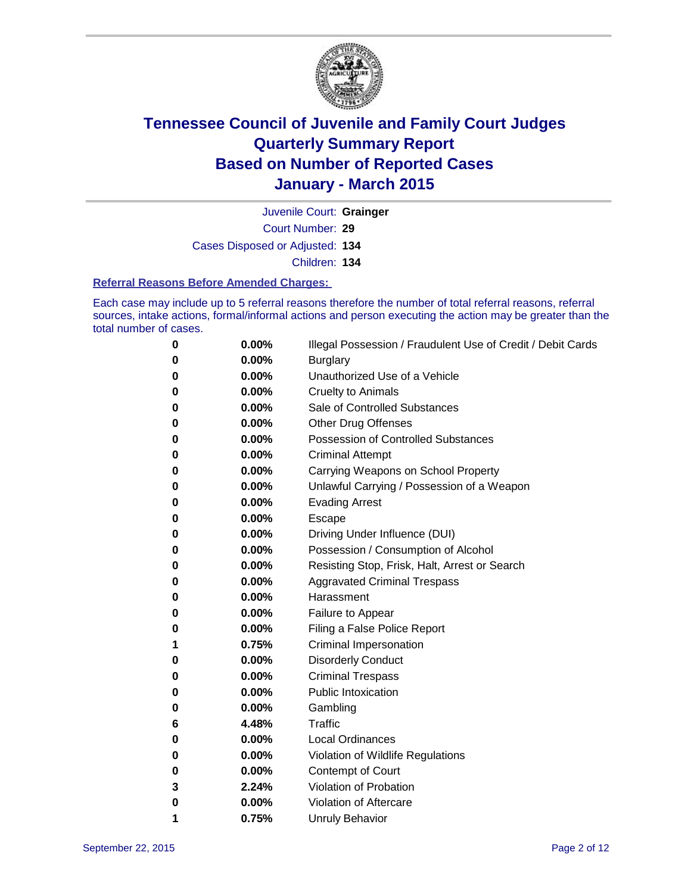

Court Number: **29** Juvenile Court: **Grainger**

Cases Disposed or Adjusted: **134**

Children: **134**

### **Referral Reasons Before Amended Charges:**

Each case may include up to 5 referral reasons therefore the number of total referral reasons, referral sources, intake actions, formal/informal actions and person executing the action may be greater than the total number of cases.

| 0 | 0.00%    | Illegal Possession / Fraudulent Use of Credit / Debit Cards |
|---|----------|-------------------------------------------------------------|
| 0 | 0.00%    | <b>Burglary</b>                                             |
| 0 | 0.00%    | Unauthorized Use of a Vehicle                               |
| 0 | 0.00%    | <b>Cruelty to Animals</b>                                   |
| 0 | 0.00%    | Sale of Controlled Substances                               |
| 0 | 0.00%    | <b>Other Drug Offenses</b>                                  |
| 0 | 0.00%    | Possession of Controlled Substances                         |
| 0 | 0.00%    | <b>Criminal Attempt</b>                                     |
| 0 | 0.00%    | Carrying Weapons on School Property                         |
| 0 | 0.00%    | Unlawful Carrying / Possession of a Weapon                  |
| 0 | 0.00%    | <b>Evading Arrest</b>                                       |
| 0 | 0.00%    | Escape                                                      |
| 0 | 0.00%    | Driving Under Influence (DUI)                               |
| 0 | 0.00%    | Possession / Consumption of Alcohol                         |
| 0 | 0.00%    | Resisting Stop, Frisk, Halt, Arrest or Search               |
| 0 | 0.00%    | <b>Aggravated Criminal Trespass</b>                         |
| 0 | 0.00%    | Harassment                                                  |
| 0 | 0.00%    | Failure to Appear                                           |
| 0 | $0.00\%$ | Filing a False Police Report                                |
| 1 | 0.75%    | <b>Criminal Impersonation</b>                               |
| 0 | 0.00%    | <b>Disorderly Conduct</b>                                   |
| 0 | 0.00%    | <b>Criminal Trespass</b>                                    |
| 0 | 0.00%    | <b>Public Intoxication</b>                                  |
| 0 | 0.00%    | Gambling                                                    |
| 6 | 4.48%    | <b>Traffic</b>                                              |
| 0 | 0.00%    | <b>Local Ordinances</b>                                     |
| 0 | 0.00%    | Violation of Wildlife Regulations                           |
| 0 | $0.00\%$ | Contempt of Court                                           |
| 3 | 2.24%    | Violation of Probation                                      |
| 0 | 0.00%    | Violation of Aftercare                                      |
| 1 | 0.75%    | <b>Unruly Behavior</b>                                      |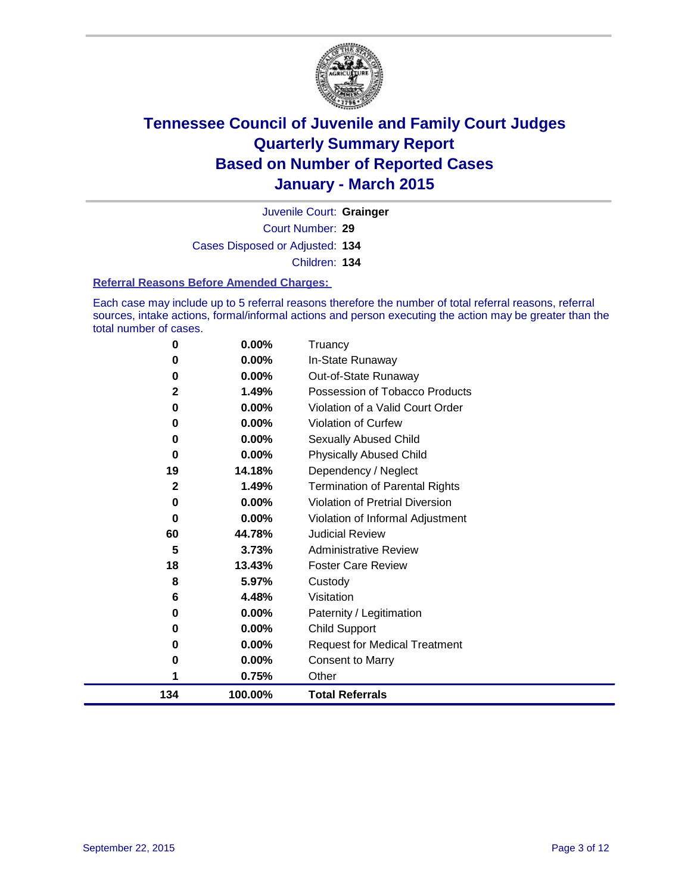

Court Number: **29** Juvenile Court: **Grainger** Cases Disposed or Adjusted: **134** Children: **134**

### **Referral Reasons Before Amended Charges:**

Each case may include up to 5 referral reasons therefore the number of total referral reasons, referral sources, intake actions, formal/informal actions and person executing the action may be greater than the total number of cases.

| 0            | $0.00\%$ | Truancy                               |
|--------------|----------|---------------------------------------|
| 0            | 0.00%    | In-State Runaway                      |
| 0            | 0.00%    | Out-of-State Runaway                  |
| 2            | 1.49%    | Possession of Tobacco Products        |
| 0            | 0.00%    | Violation of a Valid Court Order      |
| 0            | 0.00%    | Violation of Curfew                   |
| 0            | 0.00%    | Sexually Abused Child                 |
| 0            | 0.00%    | <b>Physically Abused Child</b>        |
| 19           | 14.18%   | Dependency / Neglect                  |
| $\mathbf{2}$ | 1.49%    | <b>Termination of Parental Rights</b> |
| 0            | 0.00%    | Violation of Pretrial Diversion       |
| 0            | 0.00%    | Violation of Informal Adjustment      |
| 60           | 44.78%   | <b>Judicial Review</b>                |
| 5            | 3.73%    | <b>Administrative Review</b>          |
| 18           | 13.43%   | <b>Foster Care Review</b>             |
| 8            | 5.97%    | Custody                               |
| 6            | 4.48%    | Visitation                            |
| 0            | 0.00%    | Paternity / Legitimation              |
| 0            | 0.00%    | <b>Child Support</b>                  |
| 0            | 0.00%    | <b>Request for Medical Treatment</b>  |
| 0            | 0.00%    | <b>Consent to Marry</b>               |
| 1            | 0.75%    | Other                                 |
| 134          | 100.00%  | <b>Total Referrals</b>                |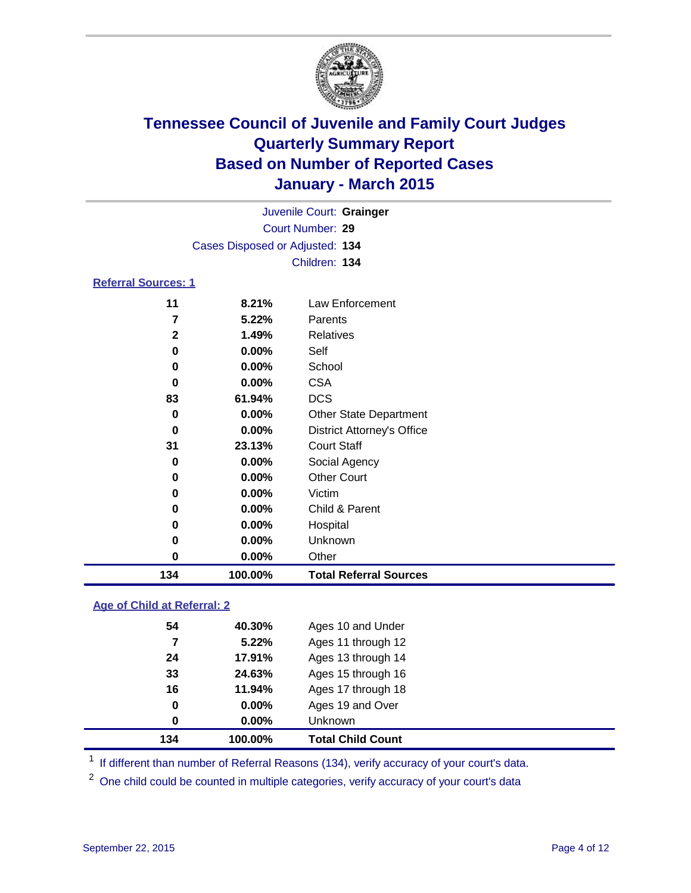

|                            | Juvenile Court: Grainger        |                                   |  |  |  |
|----------------------------|---------------------------------|-----------------------------------|--|--|--|
|                            | Court Number: 29                |                                   |  |  |  |
|                            | Cases Disposed or Adjusted: 134 |                                   |  |  |  |
|                            |                                 | Children: 134                     |  |  |  |
| <b>Referral Sources: 1</b> |                                 |                                   |  |  |  |
| 11                         | 8.21%                           | Law Enforcement                   |  |  |  |
| 7                          | 5.22%                           | Parents                           |  |  |  |
| $\mathbf{2}$               | 1.49%                           | <b>Relatives</b>                  |  |  |  |
| 0                          | $0.00\%$                        | Self                              |  |  |  |
| 0                          | $0.00\%$                        | School                            |  |  |  |
| 0                          | $0.00\%$                        | <b>CSA</b>                        |  |  |  |
| 83                         | 61.94%                          | <b>DCS</b>                        |  |  |  |
| 0                          | $0.00\%$                        | <b>Other State Department</b>     |  |  |  |
| 0                          | $0.00\%$                        | <b>District Attorney's Office</b> |  |  |  |
| 31                         | 23.13%                          | <b>Court Staff</b>                |  |  |  |

| 134 | 100.00%  | <b>Total Referral Sources</b> |  |
|-----|----------|-------------------------------|--|
| 0   | $0.00\%$ | Other                         |  |
| 0   | $0.00\%$ | <b>Unknown</b>                |  |
| 0   | $0.00\%$ | Hospital                      |  |
| 0   | $0.00\%$ | Child & Parent                |  |
| 0   | 0.00%    | Victim                        |  |
| 0   | $0.00\%$ | <b>Other Court</b>            |  |
| 0   | $0.00\%$ | Social Agency                 |  |

### **Age of Child at Referral: 2**

| 0<br>134 | $0.00\%$<br>100.00% | Unknown<br><b>Total Child Count</b> |  |
|----------|---------------------|-------------------------------------|--|
| 0        | $0.00\%$            | Ages 19 and Over                    |  |
| 16       | 11.94%              | Ages 17 through 18                  |  |
| 33       | 24.63%              | Ages 15 through 16                  |  |
| 24       | 17.91%              | Ages 13 through 14                  |  |
| 7        | 5.22%               | Ages 11 through 12                  |  |
| 54       | 40.30%              | Ages 10 and Under                   |  |

<sup>1</sup> If different than number of Referral Reasons (134), verify accuracy of your court's data.

One child could be counted in multiple categories, verify accuracy of your court's data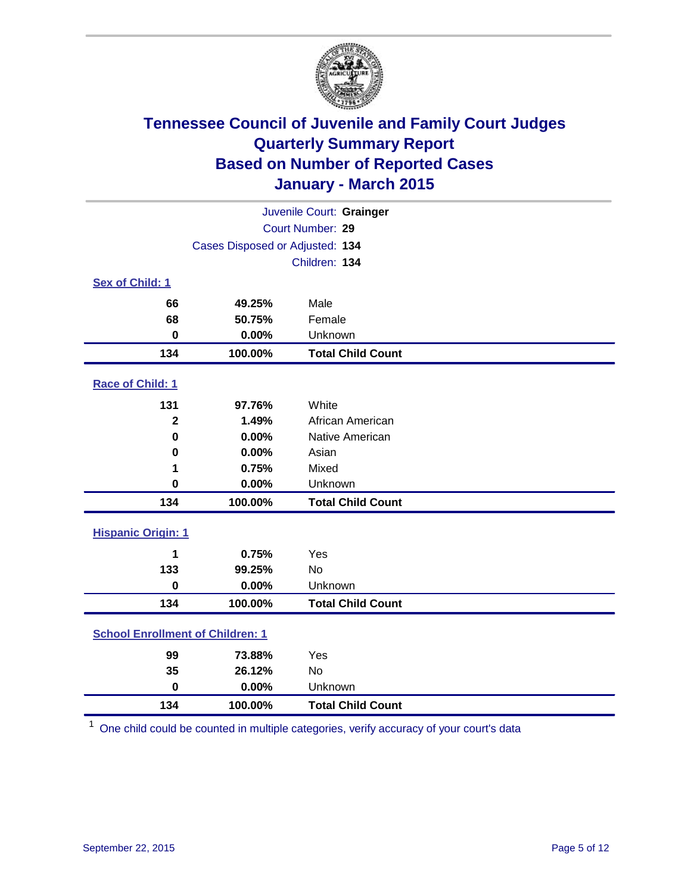

| Juvenile Court: Grainger                |                                 |                          |  |
|-----------------------------------------|---------------------------------|--------------------------|--|
|                                         | Court Number: 29                |                          |  |
|                                         | Cases Disposed or Adjusted: 134 |                          |  |
|                                         |                                 | Children: 134            |  |
| Sex of Child: 1                         |                                 |                          |  |
| 66                                      | 49.25%                          | Male                     |  |
| 68                                      | 50.75%                          | Female                   |  |
| $\bf{0}$                                | 0.00%                           | Unknown                  |  |
| 134                                     | 100.00%                         | <b>Total Child Count</b> |  |
| Race of Child: 1                        |                                 |                          |  |
| 131                                     | 97.76%                          | White                    |  |
| $\overline{2}$                          | 1.49%                           | African American         |  |
| $\bf{0}$                                | 0.00%                           | Native American          |  |
| 0                                       | 0.00%                           | Asian                    |  |
| 1                                       | 0.75%                           | Mixed                    |  |
| $\mathbf 0$                             | 0.00%                           | Unknown                  |  |
| 134                                     | 100.00%                         | <b>Total Child Count</b> |  |
| <b>Hispanic Origin: 1</b>               |                                 |                          |  |
| 1                                       | 0.75%                           | Yes                      |  |
| 133                                     | 99.25%                          | <b>No</b>                |  |
| $\bf{0}$                                | 0.00%                           | Unknown                  |  |
| 134                                     | 100.00%                         | <b>Total Child Count</b> |  |
| <b>School Enrollment of Children: 1</b> |                                 |                          |  |
| 99                                      | 73.88%                          | Yes                      |  |
| 35                                      | 26.12%                          | <b>No</b>                |  |
| $\bf{0}$                                | 0.00%                           | Unknown                  |  |
| 134                                     | 100.00%                         | <b>Total Child Count</b> |  |

One child could be counted in multiple categories, verify accuracy of your court's data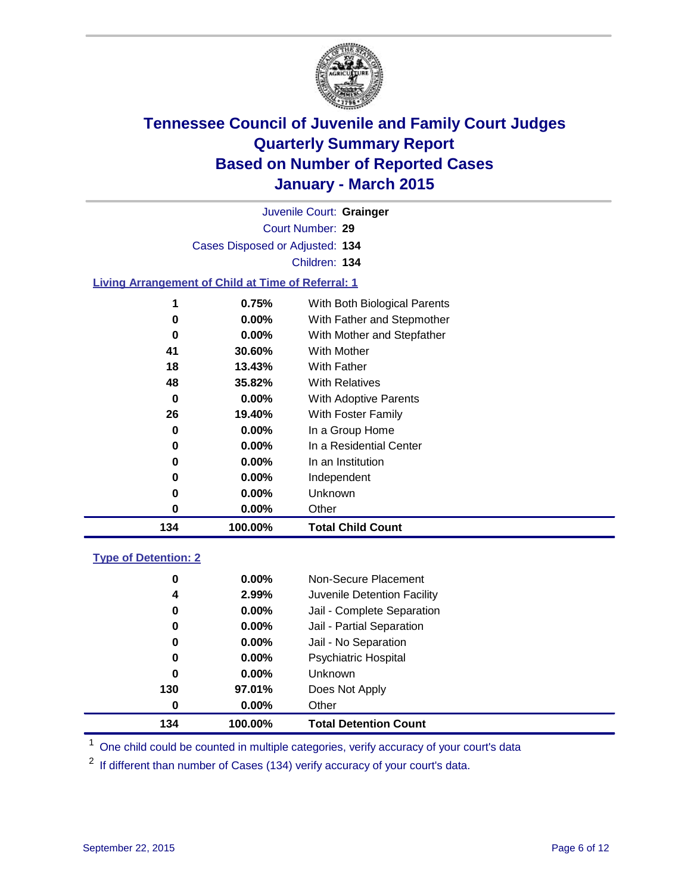

| 134                                                       | 100.00%                         | <b>Total Child Count</b>     |  |  |
|-----------------------------------------------------------|---------------------------------|------------------------------|--|--|
| 0                                                         | 0.00%                           | Other                        |  |  |
| 0                                                         | 0.00%                           | Unknown                      |  |  |
| 0                                                         | $0.00\%$                        | Independent                  |  |  |
| 0                                                         | $0.00\%$                        | In an Institution            |  |  |
| 0                                                         | 0.00%                           | In a Residential Center      |  |  |
| 0                                                         | $0.00\%$                        | In a Group Home              |  |  |
| 26                                                        | 19.40%                          | With Foster Family           |  |  |
| 0                                                         | $0.00\%$                        | With Adoptive Parents        |  |  |
| 48                                                        | 35.82%                          | <b>With Relatives</b>        |  |  |
| 18                                                        | 13.43%                          | With Father                  |  |  |
| 41                                                        | 30.60%                          | With Mother                  |  |  |
| 0                                                         | 0.00%                           | With Mother and Stepfather   |  |  |
| 0                                                         | $0.00\%$                        | With Father and Stepmother   |  |  |
| 1                                                         | 0.75%                           | With Both Biological Parents |  |  |
| <b>Living Arrangement of Child at Time of Referral: 1</b> |                                 |                              |  |  |
|                                                           |                                 | Children: 134                |  |  |
|                                                           |                                 |                              |  |  |
|                                                           | Cases Disposed or Adjusted: 134 |                              |  |  |
|                                                           | Court Number: 29                |                              |  |  |
|                                                           |                                 | Juvenile Court: Grainger     |  |  |

# **Type of Detention: 2**

| 0   | $0.00\%$ | Non-Secure Placement         |
|-----|----------|------------------------------|
| 4   | 2.99%    | Juvenile Detention Facility  |
| 0   | $0.00\%$ | Jail - Complete Separation   |
| 0   | 0.00%    | Jail - Partial Separation    |
| 0   | $0.00\%$ | Jail - No Separation         |
| 0   | $0.00\%$ | <b>Psychiatric Hospital</b>  |
| 0   | 0.00%    | Unknown                      |
| 130 | 97.01%   | Does Not Apply               |
| 0   | 0.00%    | Other                        |
| 134 | 100.00%  | <b>Total Detention Count</b> |

<sup>1</sup> One child could be counted in multiple categories, verify accuracy of your court's data

If different than number of Cases (134) verify accuracy of your court's data.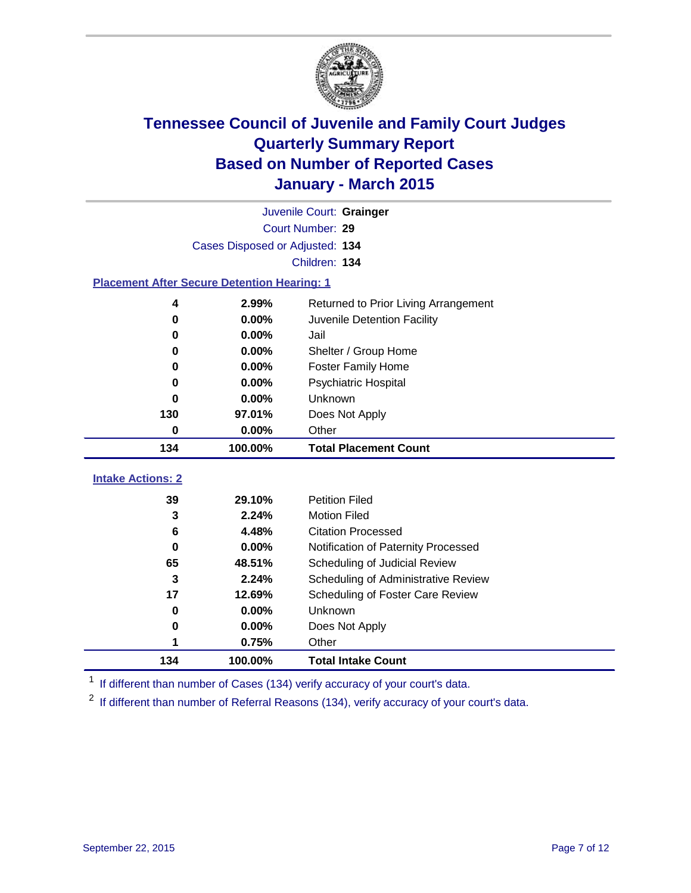

|                                                    | Juvenile Court: Grainger        |                                                  |  |  |
|----------------------------------------------------|---------------------------------|--------------------------------------------------|--|--|
|                                                    | Court Number: 29                |                                                  |  |  |
|                                                    | Cases Disposed or Adjusted: 134 |                                                  |  |  |
|                                                    |                                 | Children: 134                                    |  |  |
| <b>Placement After Secure Detention Hearing: 1</b> |                                 |                                                  |  |  |
| 4                                                  | 2.99%                           | Returned to Prior Living Arrangement             |  |  |
| $\bf{0}$                                           | 0.00%                           | Juvenile Detention Facility                      |  |  |
| 0                                                  | 0.00%                           | Jail                                             |  |  |
| $\bf{0}$                                           | 0.00%                           | Shelter / Group Home                             |  |  |
| 0                                                  | 0.00%                           | <b>Foster Family Home</b>                        |  |  |
| $\bf{0}$                                           | 0.00%                           | Psychiatric Hospital                             |  |  |
| 0                                                  | 0.00%                           | Unknown                                          |  |  |
| 130                                                | 97.01%                          | Does Not Apply                                   |  |  |
| $\bf{0}$                                           | 0.00%                           | Other                                            |  |  |
| 134                                                | 100.00%                         | <b>Total Placement Count</b>                     |  |  |
| <b>Intake Actions: 2</b>                           |                                 |                                                  |  |  |
|                                                    |                                 |                                                  |  |  |
| 39                                                 | 29.10%                          | <b>Petition Filed</b>                            |  |  |
| 3                                                  | 2.24%                           | <b>Motion Filed</b><br><b>Citation Processed</b> |  |  |
| 6<br>$\bf{0}$                                      | 4.48%                           |                                                  |  |  |
| 65                                                 | 0.00%                           | Notification of Paternity Processed              |  |  |
| 3                                                  | 48.51%<br>2.24%                 | Scheduling of Judicial Review                    |  |  |
| 17                                                 |                                 | Scheduling of Administrative Review              |  |  |
| $\bf{0}$                                           | 12.69%<br>0.00%                 | Scheduling of Foster Care Review<br>Unknown      |  |  |
| 0                                                  | 0.00%                           |                                                  |  |  |
| 1                                                  | 0.75%                           | Does Not Apply<br>Other                          |  |  |
|                                                    |                                 |                                                  |  |  |
| 134                                                | 100.00%                         | <b>Total Intake Count</b>                        |  |  |

<sup>1</sup> If different than number of Cases (134) verify accuracy of your court's data.

If different than number of Referral Reasons (134), verify accuracy of your court's data.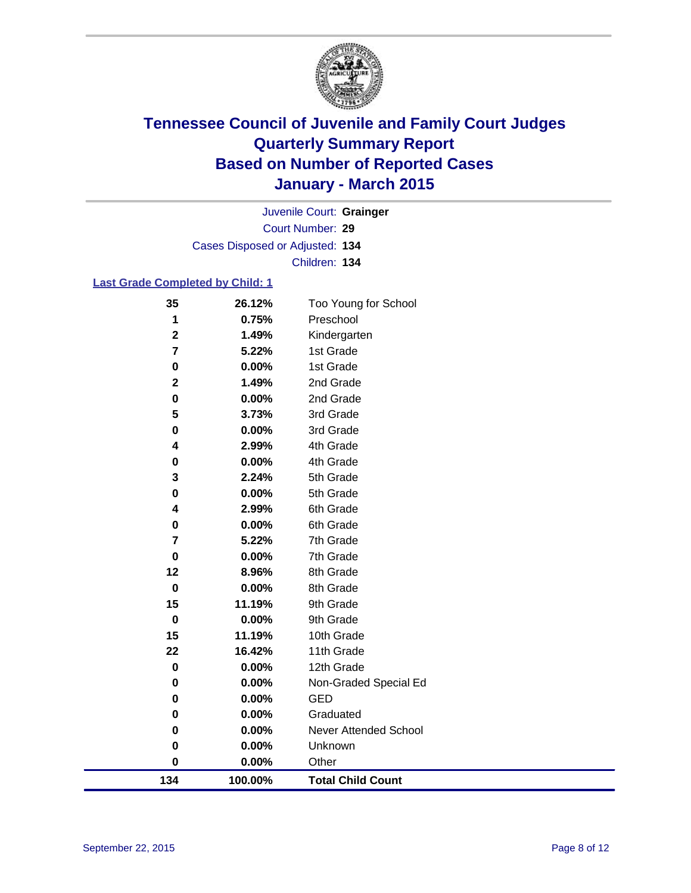

Court Number: **29** Juvenile Court: **Grainger** Cases Disposed or Adjusted: **134** Children: **134**

### **Last Grade Completed by Child: 1**

| 134                                    | 100.00%        | <b>Total Child Count</b>  |  |
|----------------------------------------|----------------|---------------------------|--|
| 0                                      | 0.00%          | Other                     |  |
| 0                                      | 0.00%          | Unknown                   |  |
| 0                                      | 0.00%          | Never Attended School     |  |
| 0                                      | 0.00%          | Graduated                 |  |
| 0                                      | 0.00%          | <b>GED</b>                |  |
| $\pmb{0}$                              | 0.00%          | Non-Graded Special Ed     |  |
| $\mathbf 0$                            | 0.00%          | 12th Grade                |  |
| 22                                     | 16.42%         | 11th Grade                |  |
| 15                                     | 11.19%         | 10th Grade                |  |
| $\bf{0}$                               | 0.00%          | 9th Grade                 |  |
| 15                                     | 11.19%         | 9th Grade                 |  |
| $\bf{0}$                               | 0.00%          | 8th Grade                 |  |
| 12                                     | 8.96%          | 8th Grade                 |  |
| $\mathbf 0$                            | 0.00%          | 7th Grade                 |  |
| 7                                      | 5.22%          | 7th Grade                 |  |
| $\pmb{0}$                              | 0.00%          | 6th Grade                 |  |
| 4                                      | 2.99%          | 6th Grade                 |  |
| 0                                      | 0.00%          | 5th Grade                 |  |
| 3                                      | 2.24%          | 5th Grade                 |  |
| 0                                      | 0.00%          | 4th Grade                 |  |
| 4                                      | 2.99%          | 4th Grade                 |  |
| 0                                      | 0.00%          | 3rd Grade                 |  |
| 5                                      | 3.73%          | 3rd Grade                 |  |
| $\pmb{0}$                              | 0.00%          | 2nd Grade                 |  |
| $\mathbf 2$                            | 1.49%          | 2nd Grade                 |  |
| $\pmb{0}$                              | 0.00%          | 1st Grade                 |  |
| $\mathbf 2$<br>$\overline{\mathbf{r}}$ | 1.49%<br>5.22% | Kindergarten<br>1st Grade |  |
| 1                                      | 0.75%          | Preschool                 |  |
|                                        |                | Too Young for School      |  |
| 35                                     | 26.12%         |                           |  |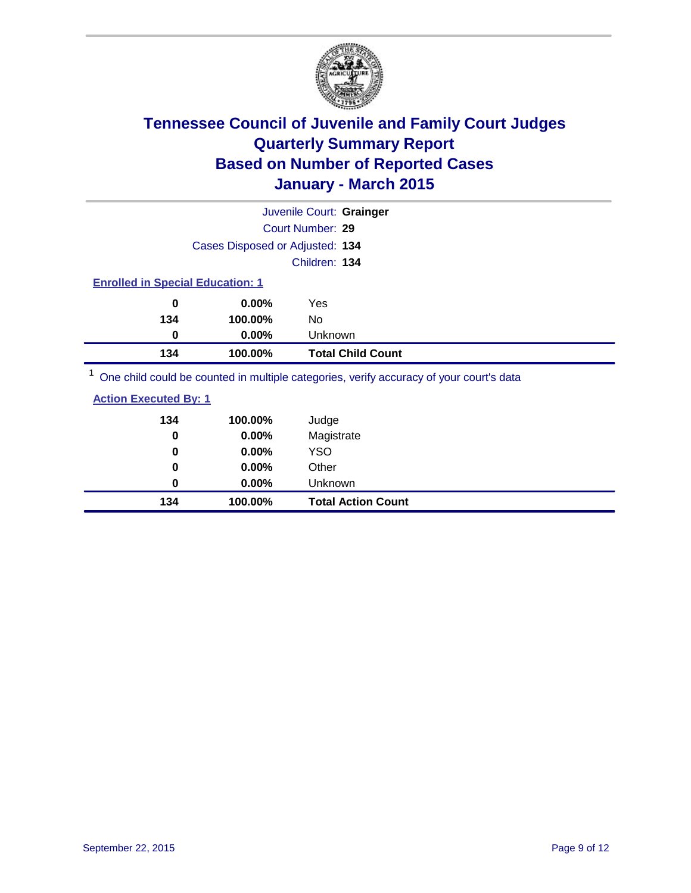

|                                         |          | Juvenile Court: Grainger                                                                |
|-----------------------------------------|----------|-----------------------------------------------------------------------------------------|
|                                         |          | Court Number: 29                                                                        |
|                                         |          | Cases Disposed or Adjusted: 134                                                         |
|                                         |          | Children: 134                                                                           |
| <b>Enrolled in Special Education: 1</b> |          |                                                                                         |
| 0                                       | $0.00\%$ | Yes                                                                                     |
| 134                                     | 100.00%  | No                                                                                      |
| 0                                       | $0.00\%$ | Unknown                                                                                 |
| 134                                     | 100.00%  | <b>Total Child Count</b>                                                                |
|                                         |          | One child could be counted in multiple categories, verify accuracy of your court's data |

| <b>Action Executed By: 1</b> |          |            |
|------------------------------|----------|------------|
| 134                          | 100.00%  | Judge      |
| 0                            | $0.00\%$ | Magistrate |
| 0                            | $0.00\%$ | YSO        |
| 0                            | $0.00\%$ | Other      |

**0 0.00%** Unknown

**134 100.00% Total Action Count**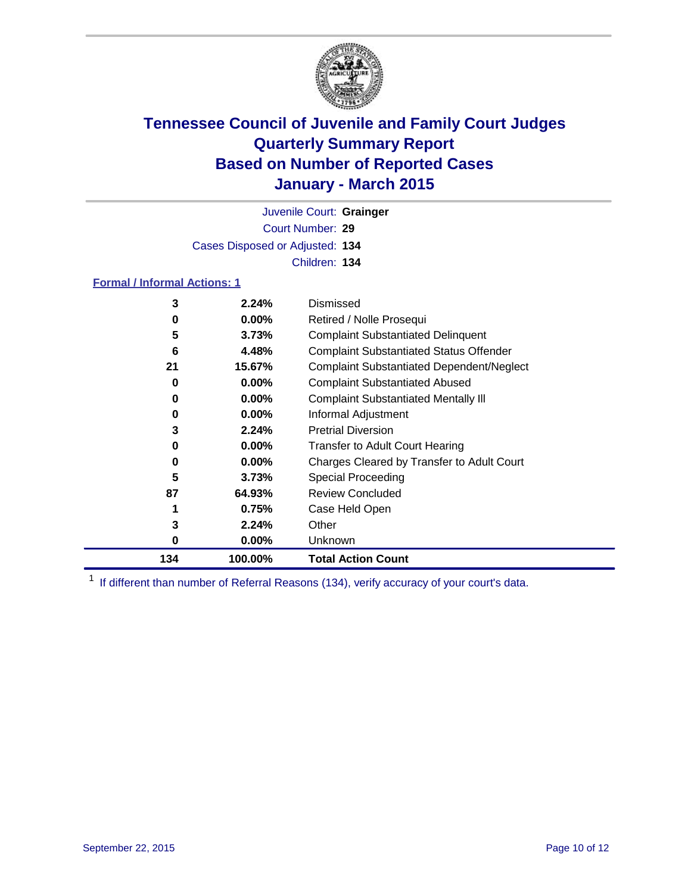

Court Number: **29** Juvenile Court: **Grainger** Cases Disposed or Adjusted: **134** Children: **134**

### **Formal / Informal Actions: 1**

| 134 | 100.00%  | <b>Total Action Count</b>                        |
|-----|----------|--------------------------------------------------|
| 0   | $0.00\%$ | Unknown                                          |
| 3   | 2.24%    | Other                                            |
|     | 0.75%    | Case Held Open                                   |
| 87  | 64.93%   | <b>Review Concluded</b>                          |
| 5   | 3.73%    | <b>Special Proceeding</b>                        |
| 0   | $0.00\%$ | Charges Cleared by Transfer to Adult Court       |
| 0   | $0.00\%$ | <b>Transfer to Adult Court Hearing</b>           |
| 3   | 2.24%    | <b>Pretrial Diversion</b>                        |
| 0   | $0.00\%$ | Informal Adjustment                              |
| 0   | $0.00\%$ | <b>Complaint Substantiated Mentally III</b>      |
| 0   | $0.00\%$ | <b>Complaint Substantiated Abused</b>            |
| 21  | 15.67%   | <b>Complaint Substantiated Dependent/Neglect</b> |
| 6   | 4.48%    | <b>Complaint Substantiated Status Offender</b>   |
| 5   | 3.73%    | <b>Complaint Substantiated Delinquent</b>        |
| 0   | $0.00\%$ | Retired / Nolle Prosequi                         |
| 3   | 2.24%    | Dismissed                                        |
|     |          |                                                  |

<sup>1</sup> If different than number of Referral Reasons (134), verify accuracy of your court's data.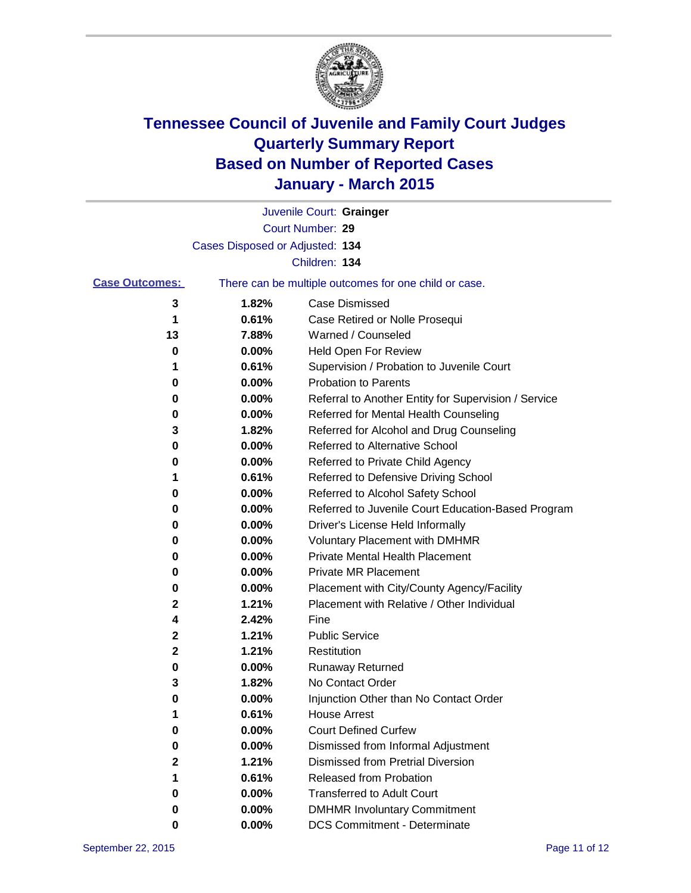

|                       |                                 | Juvenile Court: Grainger                              |
|-----------------------|---------------------------------|-------------------------------------------------------|
|                       |                                 | Court Number: 29                                      |
|                       | Cases Disposed or Adjusted: 134 |                                                       |
|                       |                                 | Children: 134                                         |
| <b>Case Outcomes:</b> |                                 | There can be multiple outcomes for one child or case. |
| 3                     | 1.82%                           | <b>Case Dismissed</b>                                 |
| 1                     | 0.61%                           | Case Retired or Nolle Prosequi                        |
| 13                    | 7.88%                           | Warned / Counseled                                    |
| 0                     | 0.00%                           | Held Open For Review                                  |
| 1                     | 0.61%                           | Supervision / Probation to Juvenile Court             |
| 0                     | 0.00%                           | <b>Probation to Parents</b>                           |
| 0                     | 0.00%                           | Referral to Another Entity for Supervision / Service  |
| 0                     | 0.00%                           | Referred for Mental Health Counseling                 |
| 3                     | 1.82%                           | Referred for Alcohol and Drug Counseling              |
| 0                     | 0.00%                           | Referred to Alternative School                        |
| 0                     | 0.00%                           | Referred to Private Child Agency                      |
| 1                     | 0.61%                           | Referred to Defensive Driving School                  |
| 0                     | 0.00%                           | Referred to Alcohol Safety School                     |
| 0                     | 0.00%                           | Referred to Juvenile Court Education-Based Program    |
| 0                     | 0.00%                           | Driver's License Held Informally                      |
| 0                     | 0.00%                           | <b>Voluntary Placement with DMHMR</b>                 |
| 0                     | 0.00%                           | <b>Private Mental Health Placement</b>                |
| 0                     | 0.00%                           | <b>Private MR Placement</b>                           |
| 0                     | 0.00%                           | Placement with City/County Agency/Facility            |
| 2                     | 1.21%                           | Placement with Relative / Other Individual            |
| 4                     | 2.42%                           | Fine                                                  |
| 2                     | 1.21%                           | <b>Public Service</b>                                 |
| $\mathbf 2$           | 1.21%                           | Restitution                                           |
| 0                     | 0.00%                           | <b>Runaway Returned</b>                               |
| 3                     | 1.82%                           | No Contact Order                                      |
| 0                     | 0.00%                           | Injunction Other than No Contact Order                |
| 1                     | 0.61%                           | <b>House Arrest</b>                                   |
| 0                     | 0.00%                           | <b>Court Defined Curfew</b>                           |
| 0                     | 0.00%                           | Dismissed from Informal Adjustment                    |
| 2                     | 1.21%                           | <b>Dismissed from Pretrial Diversion</b>              |
| 1                     | 0.61%                           | Released from Probation                               |
| 0                     | 0.00%                           | <b>Transferred to Adult Court</b>                     |
| 0                     | $0.00\%$                        | <b>DMHMR Involuntary Commitment</b>                   |
| 0                     | $0.00\%$                        | <b>DCS Commitment - Determinate</b>                   |